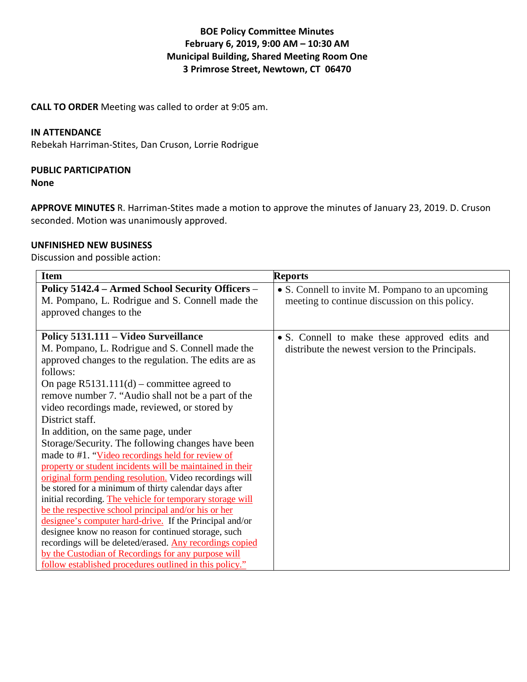# **BOE Policy Committee Minutes February 6, 2019, 9:00 AM – 10:30 AM Municipal Building, Shared Meeting Room One 3 Primrose Street, Newtown, CT 06470**

**CALL TO ORDER** Meeting was called to order at 9:05 am.

## **IN ATTENDANCE**

Rebekah Harriman-Stites, Dan Cruson, Lorrie Rodrigue

### **PUBLIC PARTICIPATION**

#### **None**

**APPROVE MINUTES** R. Harriman-Stites made a motion to approve the minutes of January 23, 2019. D. Cruson seconded. Motion was unanimously approved.

### **UNFINISHED NEW BUSINESS**

Discussion and possible action:

| <b>Item</b>                                                                                                                                                                                                                                                                                                                                                                                                                                                                                                                                                                                                                                                                                                                                                                                                                                                                                                                                                                                                                                                                                         | <b>Reports</b>                                                                                     |
|-----------------------------------------------------------------------------------------------------------------------------------------------------------------------------------------------------------------------------------------------------------------------------------------------------------------------------------------------------------------------------------------------------------------------------------------------------------------------------------------------------------------------------------------------------------------------------------------------------------------------------------------------------------------------------------------------------------------------------------------------------------------------------------------------------------------------------------------------------------------------------------------------------------------------------------------------------------------------------------------------------------------------------------------------------------------------------------------------------|----------------------------------------------------------------------------------------------------|
| Policy 5142.4 - Armed School Security Officers -<br>M. Pompano, L. Rodrigue and S. Connell made the<br>approved changes to the                                                                                                                                                                                                                                                                                                                                                                                                                                                                                                                                                                                                                                                                                                                                                                                                                                                                                                                                                                      | • S. Connell to invite M. Pompano to an upcoming<br>meeting to continue discussion on this policy. |
| Policy 5131.111 - Video Surveillance<br>M. Pompano, L. Rodrigue and S. Connell made the<br>approved changes to the regulation. The edits are as<br>follows:<br>On page $R5131.111(d)$ – committee agreed to<br>remove number 7. "Audio shall not be a part of the<br>video recordings made, reviewed, or stored by<br>District staff.<br>In addition, on the same page, under<br>Storage/Security. The following changes have been<br>made to #1. "Video recordings held for review of<br>property or student incidents will be maintained in their<br>original form pending resolution. Video recordings will<br>be stored for a minimum of thirty calendar days after<br>initial recording. The vehicle for temporary storage will<br>be the respective school principal and/or his or her<br>designee's computer hard-drive. If the Principal and/or<br>designee know no reason for continued storage, such<br>recordings will be deleted/erased. Any recordings copied<br>by the Custodian of Recordings for any purpose will<br><u>follow established procedures outlined in this policy."</u> | • S. Connell to make these approved edits and<br>distribute the newest version to the Principals.  |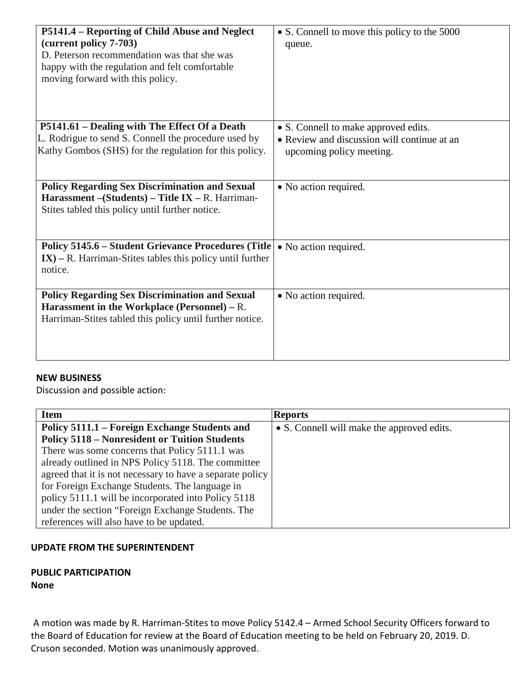| P5141.4 – Reporting of Child Abuse and Neglect<br>(current policy 7-703)<br>D. Peterson recommendation was that she was<br>happy with the regulation and felt comfortable<br>moving forward with this policy. | • S. Connell to move this policy to the 5000<br>queue. |
|---------------------------------------------------------------------------------------------------------------------------------------------------------------------------------------------------------------|--------------------------------------------------------|
| P5141.61 – Dealing with The Effect Of a Death                                                                                                                                                                 | • S. Connell to make approved edits.                   |
| L. Rodrigue to send S. Connell the procedure used by                                                                                                                                                          | • Review and discussion will continue at an            |
| Kathy Gombos (SHS) for the regulation for this policy.                                                                                                                                                        | upcoming policy meeting.                               |
| <b>Policy Regarding Sex Discrimination and Sexual</b><br>Harassment - (Students) - Title IX - R. Harriman-<br>Stites tabled this policy until further notice.                                                 | • No action required.                                  |
| <b>Policy 5145.6 – Student Grievance Procedures (Title)</b><br>$IX$ ) – R. Harriman-Stites tables this policy until further<br>notice.                                                                        | • No action required.                                  |
| <b>Policy Regarding Sex Discrimination and Sexual</b><br>Harassment in the Workplace (Personnel) – R.<br>Harriman-Stites tabled this policy until further notice.                                             | • No action required.                                  |

## **NEW BUSINESS**

Discussion and possible action:

| <b>Item</b>                                               | <b>Reports</b>                             |
|-----------------------------------------------------------|--------------------------------------------|
| Policy 5111.1 – Foreign Exchange Students and             | • S. Connell will make the approved edits. |
| <b>Policy 5118 – Nonresident or Tuition Students</b>      |                                            |
| There was some concerns that Policy 5111.1 was            |                                            |
| already outlined in NPS Policy 5118. The committee        |                                            |
| agreed that it is not necessary to have a separate policy |                                            |
| for Foreign Exchange Students. The language in            |                                            |
| policy 5111.1 will be incorporated into Policy 5118       |                                            |
| under the section "Foreign Exchange Students. The         |                                            |
| references will also have to be updated.                  |                                            |

## **UPDATE FROM THE SUPERINTENDENT**

#### **PUBLIC PARTICIPATION None**

A motion was made by R. Harriman-Stites to move Policy 5142.4 – Armed School Security Officers forward to the Board of Education for review at the Board of Education meeting to be held on February 20, 2019. D. Cruson seconded. Motion was unanimously approved.